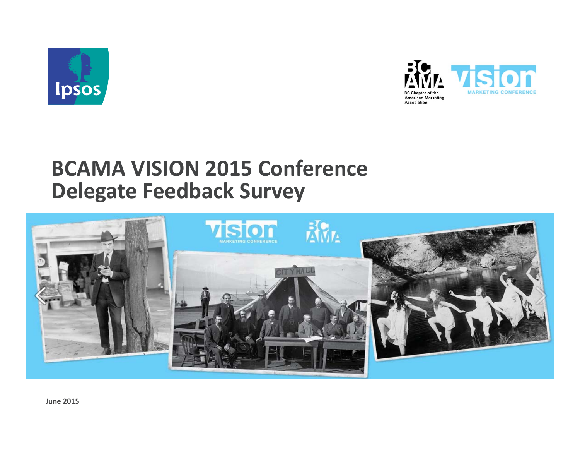



# **BCAMA VISION 2015 Conference Delegate Feedback Survey**

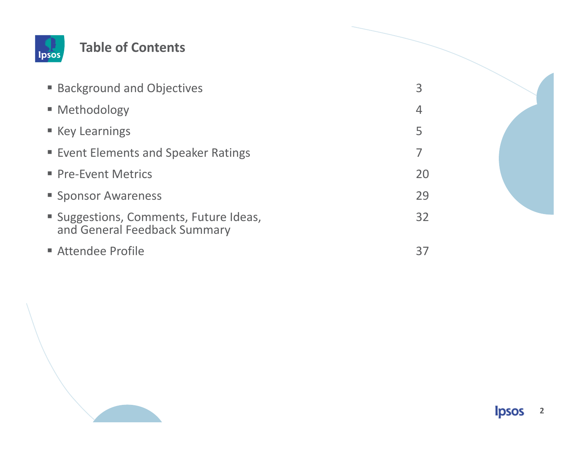

#### **Table of Contents**

| ■ Background and Objectives                                            | $\overline{3}$ |  |
|------------------------------------------------------------------------|----------------|--|
| • Methodology                                                          | $\overline{4}$ |  |
| ■ Key Learnings                                                        | 5              |  |
| ■ Event Elements and Speaker Ratings                                   | 7              |  |
| • Pre-Event Metrics                                                    | 20             |  |
| ■ Sponsor Awareness                                                    | 29             |  |
| " Suggestions, Comments, Future Ideas,<br>and General Feedback Summary | 32             |  |
| Attendee Profile                                                       | 37             |  |

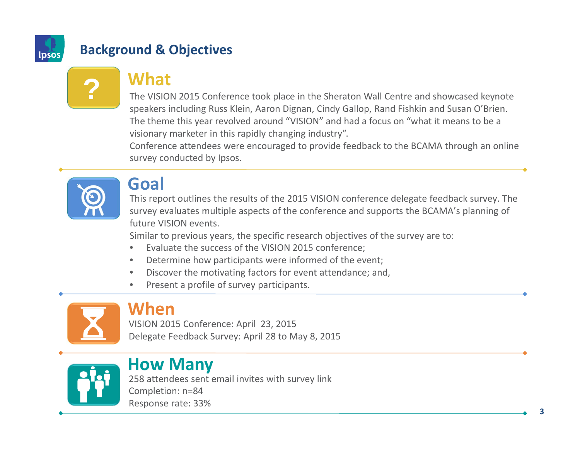

## **Background & Objectives**

# **What**

The VISION 2015 Conference took place in the Sheraton Wall Centre and showcased keynote speakers including Russ Klein, Aaron Dignan, Cindy Gallop, Rand Fishkin and Susan O'Brien. The theme this year revolved around "VISION" and had <sup>a</sup> focus on "what it means to be <sup>a</sup> visionary marketer in this rapidly changing industry".

Conference attendees were encouraged to provide feedback to the BCAMA through an online survey conducted by Ipsos.



**?**

## **Goal**

This report outlines the results of the 2015 VISION conference delegate feedback survey. The survey evaluates multiple aspects of the conference and supports the BCAMA's planning of future VISION events.

Similar to previous years, the specific research objectives of the survey are to:

- •Evaluate the success of the VISION 2015 conference;
- •Determine how participants were informed of the event;
- •Discover the motivating factors for event attendance; and,
- •• Present a profile of survey participants.



## **When**

VISION 2015 Conference: April 23, 2015 Delegate Feedback Survey: April 28 to May 8, 2015



# **How Many**

258 attendees sent email invites with survey link Completion: n=84 Response rate: 33%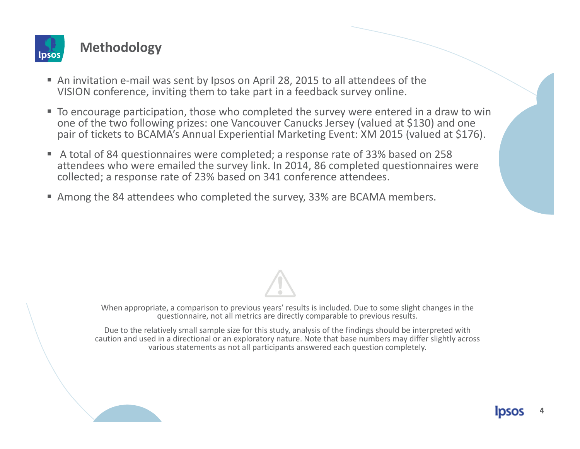

#### **Methodology**

- An invitation e-mail was sent by Ipsos on April 28, 2015 to all attendees of the VISION conference, inviting them to take part in <sup>a</sup> feedback survey online.
- To encourage participation, those who completed the survey were entered in a draw to win one of the two following prizes: one Vancouver Canucks Jersey (valued at \$130) and one pair of tickets to BCAMA's Annual Experiential Marketing Event: XM 2015 (valued at \$176).
- A total of 84 questionnaires were completed; a response rate of 33% based on 258 attendees who were emailed the survey link. In 2014, 86 completed questionnaires were collected; <sup>a</sup> response rate of 23% based on 341 conference attendees.
- Among the 84 attendees who completed the survey, 33% are BCAMA members.

When appropriate, <sup>a</sup> comparison to previous years' results is included. Due to some slight changes in the questionnaire, not all metrics are directly comparable to previous results.

Due to the relatively small sample size for this study, analysis of the findings should be interpreted with caution and used in <sup>a</sup> directional or an exploratory nature. Note that base numbers may differ slightly across various statements as not all participants answered each question completely.

**4**

**IDSOS**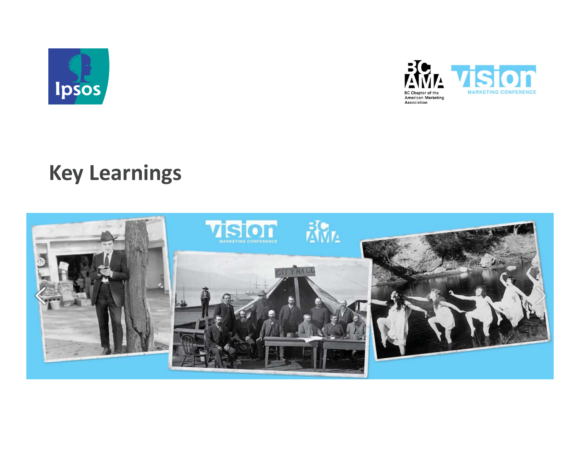



# **Key Learnings**

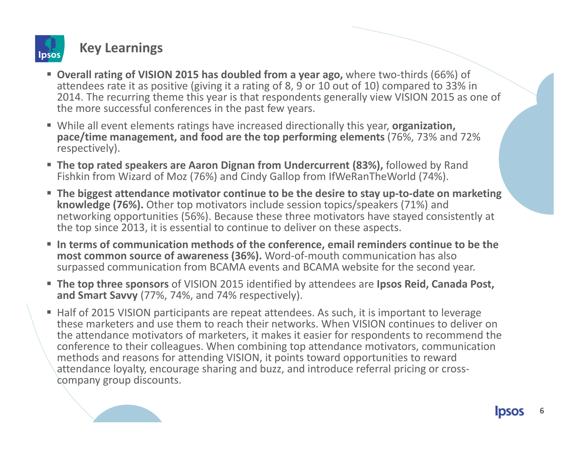

#### **Key Learnings**

- **Overall rating of VISION 2015 has doubled from <sup>a</sup> year ago,** where two‐thirds (66%) of attendees rate it as positive (giving it <sup>a</sup> rating of 8, 9 or 10 out of 10) compared to 33% in 2014. The recurring theme this year is that respondents generally view VISION 2015 as one of the more successful conferences in the past few years.
- While all event elements ratings have increased directionally this year, **organization**, **pace/time management, and food are the top performing elements** (76%, 73% and 72% respectively).
- **The top rated speakers are Aaron Dignan from Undercurrent (83%),** followed by Rand Fishkin from Wizard of Moz (76%) and Cindy Gallop from IfWeRanTheWorld (74%).
- **The biggest attendance motivator continue to be the desire to stay up‐to‐date on marketing knowledge (76%).** Other top motivators include session topics/speakers (71%) and networking opportunities (56%). Because these three motivators have stayed consistently at the top since 2013, it is essential to continue to deliver on these aspects.
- **In terms of communication methods of the conference, email reminders continue to be the most common source of awareness (36%).** Word‐of‐mouth communication has also surpassed communication from BCAMA events and BCAMA website for the second year.
- **The top three sponsors** of VISION 2015 identified by attendees are **Ipsos Reid, Canada Post, and Smart Savvy** (77%, 74%, and 74% respectively).
- Half of 2015 VISION participants are repeat attendees. As such, it is important to leverage these marketers and use them to reach their networks. When VISION continues to deliver on the attendance motivators of marketers, it makes it easier for respondents to recommend the conference to their colleagues. When combining top attendance motivators, communication methods and reasons for attending VISION, it points toward opportunities to reward attendance loyalty, encourage sharing and buzz, and introduce referral pricing or cross‐ company group discounts.

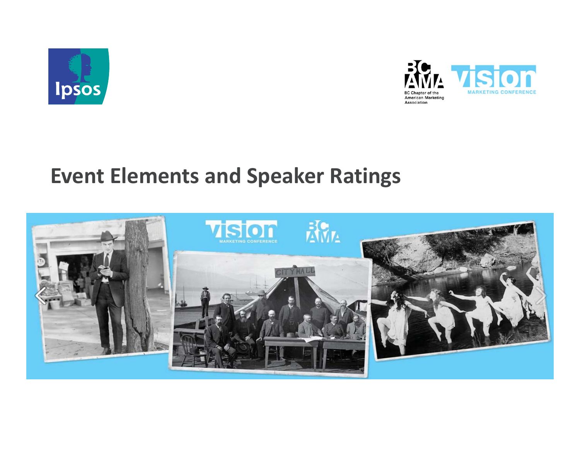



# **Event Elements and Speaker Ratings**

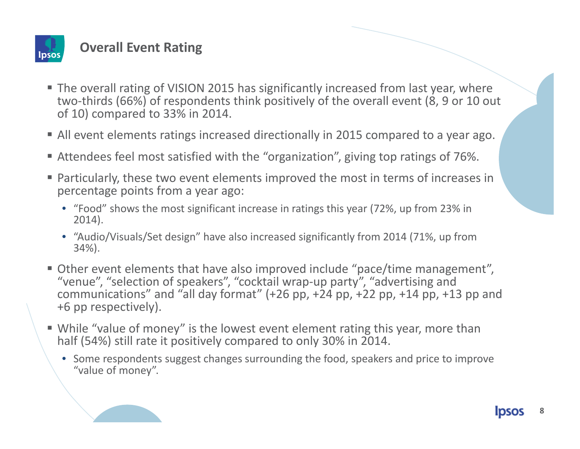

### **Overall Event Rating**

- The overall rating of VISION 2015 has significantly increased from last year, where two‐thirds (66%) of respondents think positively of the overall event (8, 9 or 10 out of 10) compared to 33% in 2014.
- All event elements ratings increased directionally in 2015 compared to <sup>a</sup> year ago.
- Attendees feel most satisfied with the "organization", giving top ratings of 76%.
- Particularly, these two event elements improved the most in terms of increases in percentage points from <sup>a</sup> year ago:
	- "Food" shows the most significant increase in ratings this year (72%, up from 23% in 2014).
	- "Audio/Visuals/Set design" have also increased significantly from 2014 (71%, up from 34%).
- Other event elements that have also improved include "pace/time management", "venue", "selection of speakers", "cocktail wrap‐up party", "advertising and communications" and "all day format" (+26 pp, +24 pp, +22 pp, +14 pp, +13 pp and +6 pp respectively).
- While "value of money" is the lowest event element rating this year, more than half (54%) still rate it positively compared to only 30% in 2014.
	- Some respondents suggest changes surrounding the food, speakers and price to improve "value of money".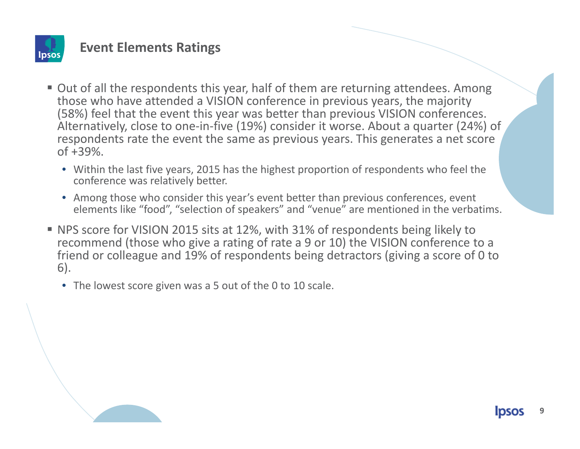

- Out of all the respondents this year, half of them are returning attendees. Among those who have attended <sup>a</sup> VISION conference in previous years, the majority (58%) feel that the event this year was better than previous VISION conferences. Alternatively, close to one‐in‐five (19%) consider it worse. About <sup>a</sup> quarter (24%) of respondents rate the event the same as previous years. This generates <sup>a</sup> net score of +39%.
	- Within the last five years, 2015 has the highest proportion of respondents who feel the conference was relatively better.
	- Among those who consider this year's event better than previous conferences, event elements like "food", "selection of speakers" and "venue" are mentioned in the verbatims.
- NPS score for VISION 2015 sits at 12%, with 31% of respondents being likely to recommend (those who give <sup>a</sup> rating of rate <sup>a</sup> 9 or 10) the VISION conference to <sup>a</sup> friend or colleague and 19% of respondents being detractors (giving <sup>a</sup> score of 0 to 6).
	- The lowest score given was <sup>a</sup> 5 out of the 0 to 10 scale.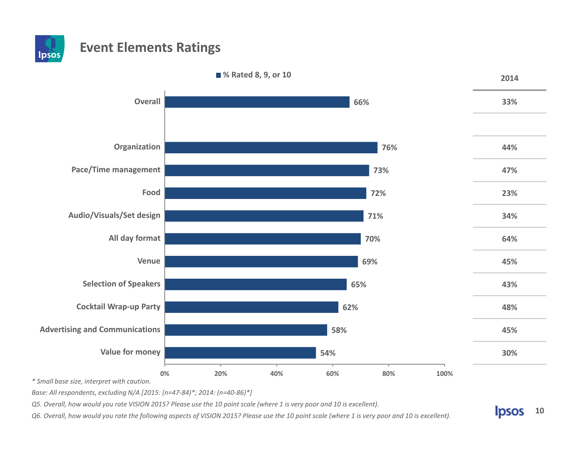



*\* Small base size, interpret with caution.*

*Base: All respondents, excluding N/A [2015: (n=47‐84)\*; 2014: (n=40‐86)\*]*

Q5. Overall, how would you rate VISION 2015? Please use the 10 point scale (where 1 is very poor and 10 is excellent).

Q6. Overall, how would you rate the following aspects of VISION 2015? Please use the 10 point scale (where 1 is very poor and 10 is excellent).

**Ipsos 10**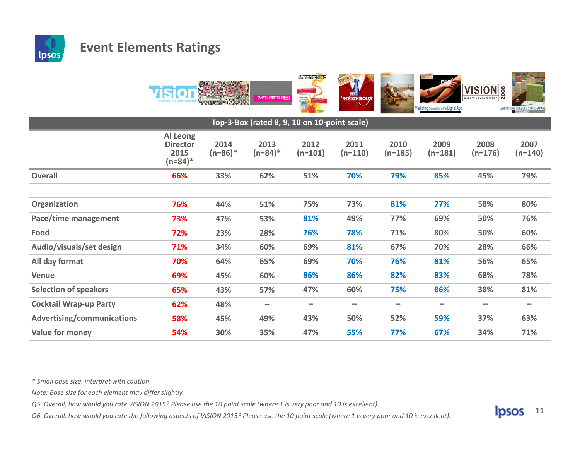



| Top-3-Box (rated 8, 9, 10 on 10-point scale) |                                                   |                   |                    |                          |                          |                   |                   |                   |                   |
|----------------------------------------------|---------------------------------------------------|-------------------|--------------------|--------------------------|--------------------------|-------------------|-------------------|-------------------|-------------------|
|                                              | Al Leong<br><b>Director</b><br>2015<br>$(n=84)^*$ | 2014<br>$(n=86)*$ | 2013<br>$(n=84)^*$ | 2012<br>$(n=101)$        | 2011<br>$(n=110)$        | 2010<br>$(n=185)$ | 2009<br>$(n=181)$ | 2008<br>$(n=176)$ | 2007<br>$(n=140)$ |
| <b>Overall</b>                               | 66%                                               | 33%               | 62%                | 51%                      | 70%                      | 79%               | 85%               | 45%               | 79%               |
|                                              |                                                   |                   |                    |                          |                          |                   |                   |                   |                   |
| Organization                                 | 76%                                               | 44%               | 51%                | 75%                      | 73%                      | 81%               | 77%               | 58%               | 80%               |
| Pace/time management                         | 73%                                               | 47%               | 53%                | 81%                      | 49%                      | 77%               | 69%               | 50%               | 76%               |
| Food                                         | 72%                                               | 23%               | 28%                | 76%                      | 78%                      | 71%               | 80%               | 50%               | 60%               |
| Audio/visuals/set design                     | 71%                                               | 34%               | 60%                | 69%                      | 81%                      | 67%               | 70%               | 28%               | 66%               |
| All day format                               | 70%                                               | 64%               | 65%                | 69%                      | 70%                      | 76%               | 81%               | 56%               | 65%               |
| <b>Venue</b>                                 | 69%                                               | 45%               | 60%                | 86%                      | 86%                      | 82%               | 83%               | 68%               | 78%               |
| <b>Selection of speakers</b>                 | 65%                                               | 43%               | 57%                | 47%                      | 60%                      | 75%               | 86%               | 38%               | 81%               |
| <b>Cocktail Wrap-up Party</b>                | 62%                                               | 48%               | -                  | $\overline{\phantom{0}}$ | $\overline{\phantom{0}}$ |                   | -                 | -                 | -                 |
| <b>Advertising/communications</b>            | 58%                                               | 45%               | 49%                | 43%                      | 50%                      | 52%               | 59%               | 37%               | 63%               |
| <b>Value for money</b>                       | 54%                                               | 30%               | 35%                | 47%                      | 55%                      | 77%               | 67%               | 34%               | 71%               |

*\* Small base size, interpret with caution.*

*Note: Base size for each element may differ slightly.*

Q5. Overall, how would you rate VISION 2015? Please use the 10 point scale (where 1 is very poor and 10 is excellent).

Q6. Overall, how would you rate the following aspects of VISION 2015? Please use the 10 point scale (where 1 is very poor and 10 is excellent).

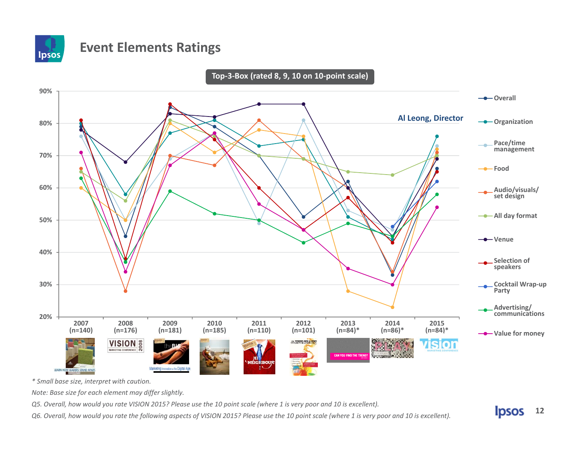

**Top‐3‐Box (rated 8, 9, 10 on 10‐point scale) 90%-Overall Al Leong, Director-**Organization **80%Pace/time management 70%Food60%Audio/visuals/ set design All day format 50%-0-** Venue **40%Selection of speakers 30%Cocktail Wrap‐up Party Advertising/ communications 20%200720082009201020112012201320142015 (n=140) (n=176) (n=181) (n=185) (n=110) (n=101) (n=84)\* (n=86)\* (n=84)\* Value for money VISION** SON *<b>Mamarketting* vision CAN YOU FIND THE TRE **PÉIGHRC** Marketing Innovation in the Digital Age LEARN HOW LEADERS STAND APAR

*\* Small base size, interpret with caution.*

*Note: Base size for each element may differ slightly.*

Q5. Overall, how would you rate VISION 2015? Please use the 10 point scale (where 1 is very poor and 10 is excellent).

Q6. Overall, how would you rate the following aspects of VISION 2015? Please use the 10 point scale (where 1 is very poor and 10 is excellent).

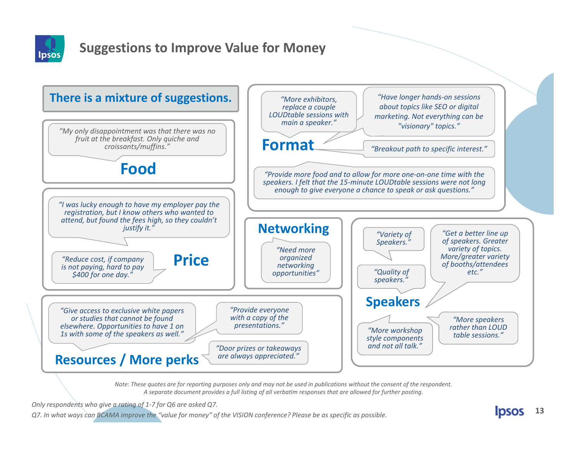

### **Suggestions to Improve Value for Money**



Note: These quotes are for reporting purposes only and may not be used in publications without the consent of the respondent. A separate document provides a full listing of all verbatim responses that are allowed for further posting.

*Only respondents who give <sup>a</sup> rating of 1‐7 for Q6 are asked Q7.*

Q7. In what ways can BCAMA improve the "value for money" of the VISION conference? Please be as specific as possible.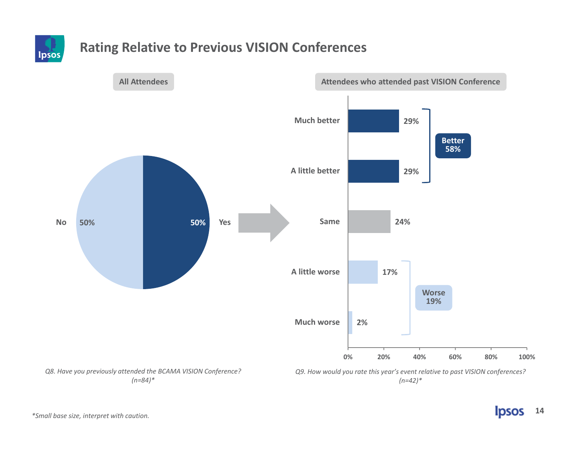

### **Rating Relative to Previous VISION Conferences**

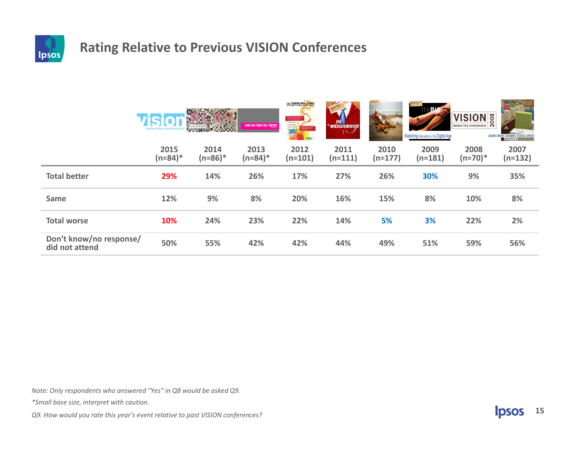

### **Rating Relative to Previous VISION Conferences**

|                                           | <b>MARKETING</b>   | <b>WEBSTERN COM</b> | CAN YOU FIND THE TREND? | <b><i><b><i>Mamarketine</i></b></i></b><br><b>12 What is Liquid Contest!</b><br>This material production<br>1) brinkleitung<br>$\Rightarrow$ | HEIGHBOUR         |                   | The alle<br>Marketing Innovation in the Digital Age. | <b>VISION</b> <sup>8</sup><br>MARKETING CONFERENCE | LEARN HOW LEADERS STAND APART. |
|-------------------------------------------|--------------------|---------------------|-------------------------|----------------------------------------------------------------------------------------------------------------------------------------------|-------------------|-------------------|------------------------------------------------------|----------------------------------------------------|--------------------------------|
|                                           | 2015<br>$(n=84)^*$ | 2014<br>$(n=86)^*$  | 2013<br>$(n=84)^*$      | 2012<br>$(n=101)$                                                                                                                            | 2011<br>$(n=111)$ | 2010<br>$(n=177)$ | 2009<br>$(n=181)$                                    | 2008<br>$(n=70)$ *                                 | 2007<br>$(n=132)$              |
| <b>Total better</b>                       | 29%                | 14%                 | 26%                     | 17%                                                                                                                                          | 27%               | 26%               | 30%                                                  | 9%                                                 | 35%                            |
| Same                                      | 12%                | 9%                  | 8%                      | 20%                                                                                                                                          | 16%               | 15%               | 8%                                                   | 10%                                                | 8%                             |
| <b>Total worse</b>                        | 10%                | 24%                 | 23%                     | 22%                                                                                                                                          | 14%               | 5%                | 3%                                                   | 22%                                                | 2%                             |
| Don't know/no response/<br>did not attend | 50%                | 55%                 | 42%                     | 42%                                                                                                                                          | 44%               | 49%               | 51%                                                  | 59%                                                | 56%                            |

*Note: Only respondents who answered "Yes" in Q8 would be asked Q9.*

*\*Small base size, interpret with caution.*

*Q9. How would you rate this year's event relative to past VISION conferences?*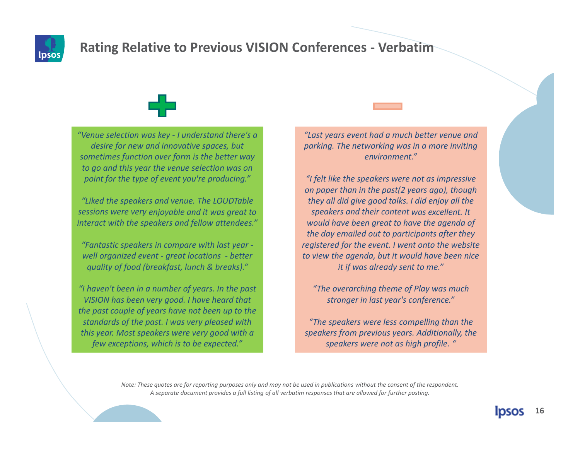

## **Rating Relative to Previous VISION Conferences ‐ Verbatim**



*"Venue selection was key ‐ I understand there's <sup>a</sup> desire for new and innovative spaces, but sometimes function over form is the better way to go and this year the venue selection was on point for the type of event you're producing."*

*"Liked the speakers and venue. The LOUDTable sessions were very enjoyable and it was great to interact with the speakers and fellow attendees."*

*"Fantastic speakers in compare with last year ‐ well organized event ‐ great locations ‐ better quality of food (breakfast, lunch & breaks)."*

*"I haven't been in <sup>a</sup> number of years. In the past VISION has been very good. I have heard that the past couple of years have not been up to the standards of the past. I was very pleased with this year. Most speakers were very good with <sup>a</sup> few exceptions, which is to be expected."*

*"Last years event had <sup>a</sup> much better venue and parking. The networking was in <sup>a</sup> more inviting environment."*

*"I felt like the speakers were not as impressive on paper than in the past(2 years ago), though they all did give good talks. I did enjoy all the speakers and their content was excellent. It would have been great to have the agenda of the day emailed out to participants after they registered for the event. I went onto the website to view the agenda, but it would have been nice it if was already sent to me."*

*"The overarching theme of Play was much stronger in last year's conference."*

*"The speakers were less compelling than the speakers from previous years. Additionally, the speakers were not as high profile. "*

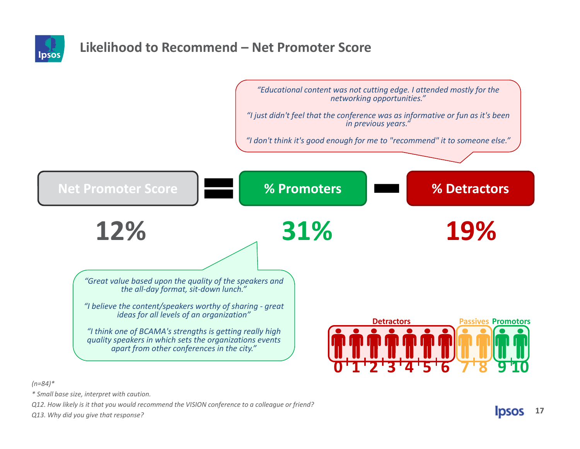

### **Likelihood to Recommend – Net Promoter Score**



*(n=84)\**

*\* Small base size, interpret with caution.*

*Q12. How likely is it that you would recommend the VISION conference to <sup>a</sup> colleague or friend?*

*Q13. Why did you give that response?*

**IDSOS 17**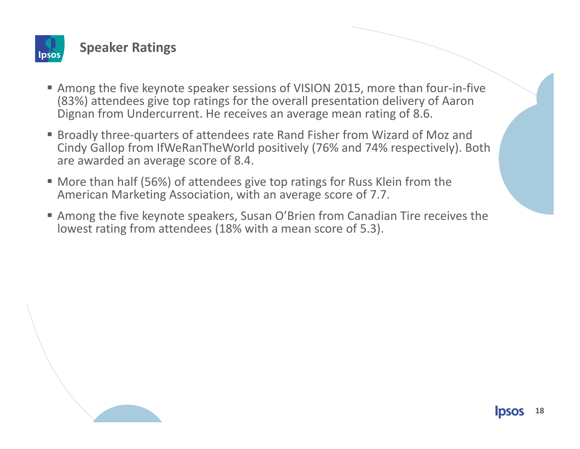

**Speaker Ratings**

- Among the five keynote speaker sessions of VISION 2015, more than four-in-five (83%) attendees give top ratings for the overall presentation delivery of Aaron Dignan from Undercurrent. He receives an average mean rating of 8.6.
- Broadly three-quarters of attendees rate Rand Fisher from Wizard of Moz and Cindy Gallop from IfWeRanTheWorld positively (76% and 74% respectively). Both are awarded an average score of 8.4.
- More than half (56%) of attendees give top ratings for Russ Klein from the American Marketing Association, with an average score of 7.7.
- Among the five keynote speakers, Susan O'Brien from Canadian Tire receives the lowest rating from attendees (18% with <sup>a</sup> mean score of 5.3).

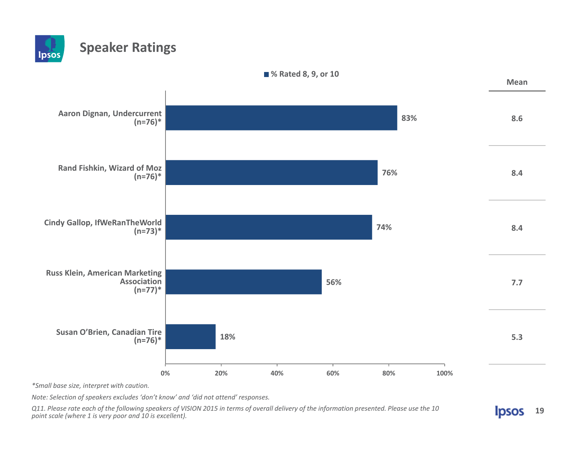#### **Speaker Ratings Ipsos**



*\*Small base size, interpret with caution.*

*Note: Selection of speakers excludes 'don't know' and 'did not attend' responses.*

Q11. Please rate each of the following speakers of VISION 2015 in terms of overall delivery of the information presented. Please use the 10 *point scale (where 1 is very poor and 10 is excellent).*

**Ipsos 19**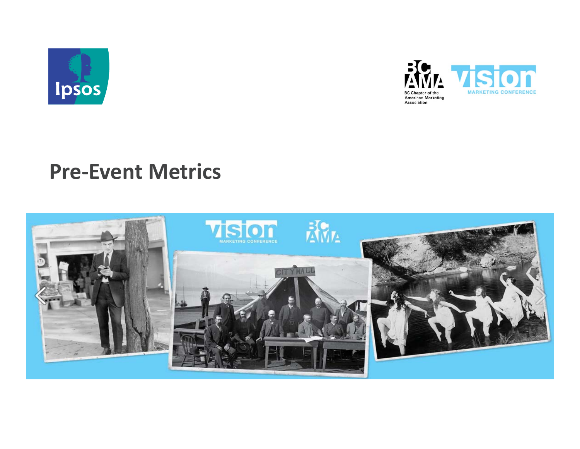



# **Pre‐Event Metrics**

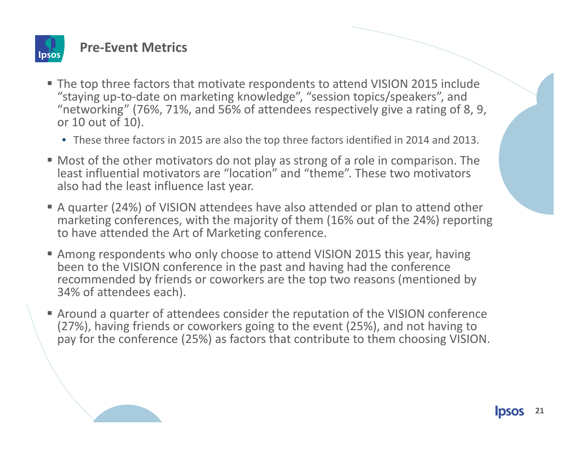

#### **Pre‐Event Metrics**

- The top three factors that motivate respondents to attend VISION 2015 include "staying up‐to‐date on marketing knowledge", "session topics/speakers", and "networking" (76%, 71%, and 56% of attendees respectively give <sup>a</sup> rating of 8, 9, or 10 out of 10).
	- These three factors in 2015 are also the top three factors identified in 2014 and 2013.
- Most of the other motivators do not play as strong of <sup>a</sup> role in comparison. The least influential motivators are "location" and "theme". These two motivators also had the least influence last year.
- A quarter (24%) of VISION attendees have also attended or plan to attend other marketing conferences, with the majority of them (16% out of the 24%) reporting to have attended the Art of Marketing conference.
- Among respondents who only choose to attend VISION 2015 this year, having been to the VISION conference in the past and having had the conference recommended by friends or coworkers are the top two reasons (mentioned by 34% of attendees each).
- Around <sup>a</sup> quarter of attendees consider the reputation of the VISION conference (27%), having friends or coworkers going to the event (25%), and not having to pay for the conference (25%) as factors that contribute to them choosing VISION.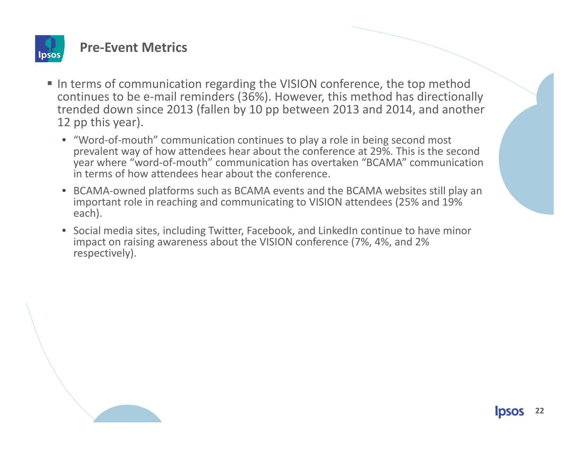

#### **Pre‐Event Metrics**

- In terms of communication regarding the VISION conference, the top method continues to be <sup>e</sup>‐mail reminders (36%). However, this method has directionally trended down since 2013 (fallen by 10 pp between 2013 and 2014, and another 12 pp this year).
	- "Word‐of‐mouth" communication continues to play <sup>a</sup> role in being second most prevalent way of how attendees hear about the conference at 29%. This is the second year where "word‐of‐mouth" communication has overtaken "BCAMA" communication in terms of how attendees hear about the conference.
	- BCAMA‐owned platforms such as BCAMA events and the BCAMA websites still play an important role in reaching and communicating to VISION attendees (25% and 19% each).
	- Social media sites, including Twitter, Facebook, and LinkedIn continue to have minor impact on raising awareness about the VISION conference (7%, 4%, and 2% respectively).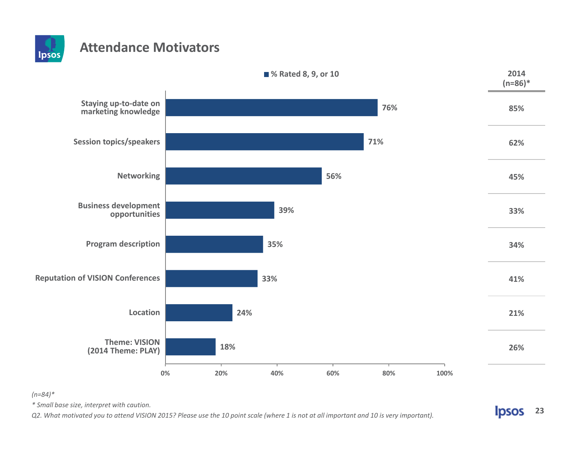

### **Attendance Motivators**



#### *(n=84)\**

*\* Small base size, interpret with caution.*

Q2. What motivated you to attend VISION 2015? Please use the 10 point scale (where 1 is not at all important and 10 is very important).

**Ipsos 23**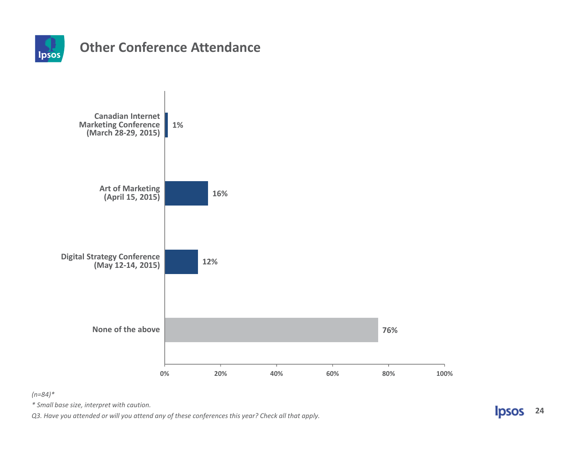

#### **Other Conference Attendance**



*(n=84)\**

*\* Small base size, interpret with caution.*

*Q3. Have you attended or will you attend any of these conferences this year? Check all that apply.*

**Ipsos 24**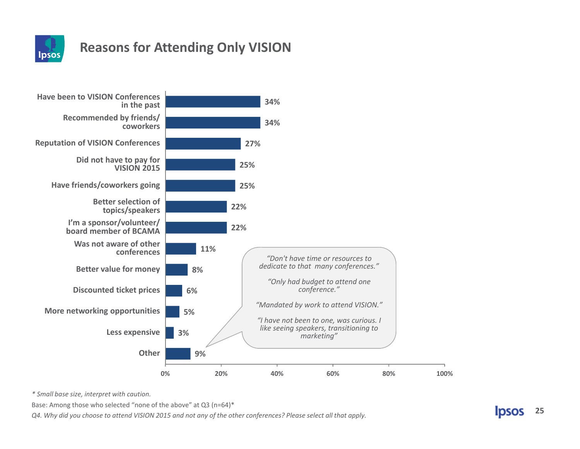

## **Reasons for Attending Only VISION**



*\* Small base size, interpret with caution.*

Base: Among those who selected "none of the above" at Q3 (n=64)\*

Q4. Why did you choose to attend VISION 2015 and not any of the other conferences? Please select all that apply.

**25IDSOS**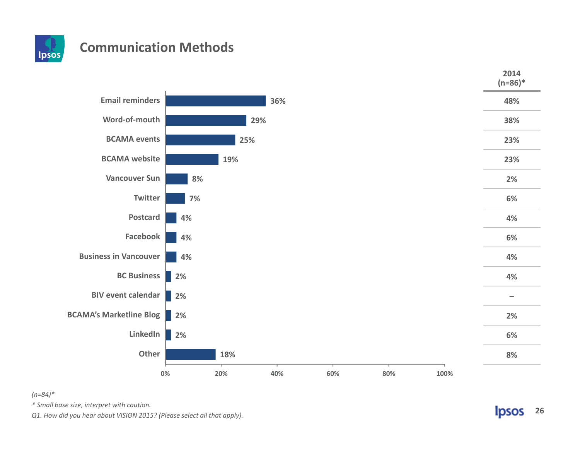

#### **Communication Methods**



#### *(n=84)\**

*\* Small base size, interpret with caution.*

*Q1. How did you hear about VISION 2015? (Please select all that apply).*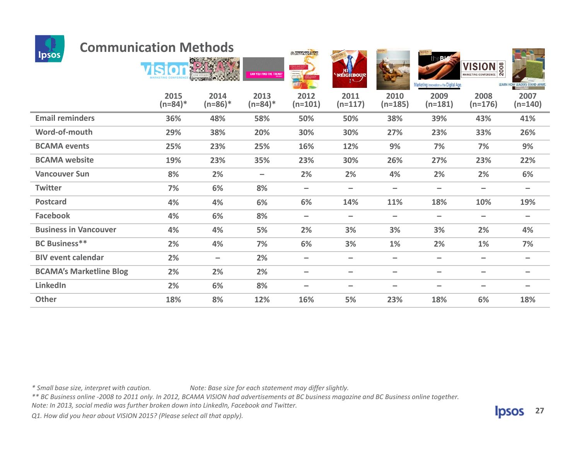

#### **Communication Methods**

| <b>upsus</b>                   |                    |                   | <b>CAN YOU FIND THE TREND?</b> | $\overline{a}$<br>(SION Marketing)<br>Conformasis 2012 | <b>NEIGHBOUR</b><br>!∪   |                          | the <sup>316</sup><br>Marketing Innovation in the Digital Age. | <b>VISION</b> <sup>8</sup><br>MARKETING CONFERENCE | LEARN HOW LEADERS STAND APART |
|--------------------------------|--------------------|-------------------|--------------------------------|--------------------------------------------------------|--------------------------|--------------------------|----------------------------------------------------------------|----------------------------------------------------|-------------------------------|
|                                | 2015<br>$(n=84)^*$ | 2014<br>$(n=86)*$ | 2013<br>$(n=84)^*$             | 2012<br>$(n=101)$                                      | 2011<br>$(n=117)$        | 2010<br>$(n=185)$        | 2009<br>$(n=181)$                                              | 2008<br>$(n=176)$                                  | 2007<br>$(n=140)$             |
| <b>Email reminders</b>         | 36%                | 48%               | 58%                            | 50%                                                    | 50%                      | 38%                      | 39%                                                            | 43%                                                | 41%                           |
| Word-of-mouth                  | 29%                | 38%               | 20%                            | 30%                                                    | 30%                      | 27%                      | 23%                                                            | 33%                                                | 26%                           |
| <b>BCAMA</b> events            | 25%                | 23%               | 25%                            | 16%                                                    | 12%                      | 9%                       | 7%                                                             | 7%                                                 | 9%                            |
| <b>BCAMA</b> website           | 19%                | 23%               | 35%                            | 23%                                                    | 30%                      | 26%                      | 27%                                                            | 23%                                                | 22%                           |
| <b>Vancouver Sun</b>           | 8%                 | 2%                | $\qquad \qquad -$              | 2%                                                     | 2%                       | 4%                       | 2%                                                             | 2%                                                 | 6%                            |
| <b>Twitter</b>                 | 7%                 | 6%                | 8%                             | $\qquad \qquad$                                        | -                        | $\overline{\phantom{m}}$ |                                                                | $\qquad \qquad \blacksquare$                       | $\qquad \qquad$               |
| <b>Postcard</b>                | 4%                 | 4%                | 6%                             | 6%                                                     | 14%                      | 11%                      | 18%                                                            | 10%                                                | 19%                           |
| <b>Facebook</b>                | 4%                 | 6%                | 8%                             |                                                        | -                        | $\qquad \qquad$          |                                                                | $\overline{\phantom{m}}$                           | $\qquad \qquad$               |
| <b>Business in Vancouver</b>   | 4%                 | 4%                | 5%                             | 2%                                                     | 3%                       | 3%                       | 3%                                                             | 2%                                                 | 4%                            |
| <b>BC Business**</b>           | 2%                 | 4%                | 7%                             | 6%                                                     | 3%                       | 1%                       | 2%                                                             | 1%                                                 | 7%                            |
| <b>BIV event calendar</b>      | 2%                 | $\qquad \qquad -$ | 2%                             |                                                        | -                        | $\overline{\phantom{m}}$ |                                                                | $\qquad \qquad \blacksquare$                       | $\qquad \qquad$               |
| <b>BCAMA's Marketline Blog</b> | 2%                 | 2%                | 2%                             | $\hspace{0.05cm}$                                      | $\qquad \qquad -$        | $\qquad \qquad$          | $\overline{\phantom{0}}$                                       | $\qquad \qquad \blacksquare$                       | $\qquad \qquad$               |
| LinkedIn                       | 2%                 | 6%                | 8%                             | $\overline{\phantom{a}}$                               | $\overline{\phantom{0}}$ | $\overline{\phantom{m}}$ | $\overline{\phantom{0}}$                                       | $\qquad \qquad \blacksquare$                       | $\qquad \qquad$               |
| <b>Other</b>                   | 18%                | 8%                | 12%                            | 16%                                                    | 5%                       | 23%                      | 18%                                                            | 6%                                                 | 18%                           |

**Avman calling** 

**All Company Company** 

**VISION &** 

*\**

*Mote: Base size for each statement may differ slightly.* 

\*\* BC Business online -2008 to 2011 only. In 2012, BCAMA VISION had advertisements at BC business magazine and BC Business online together.

*Note: In 2013, social media was further broken down into LinkedIn, Facebook and Twitter.*

*Q1. How did you hear about VISION 2015? (Please select all that apply).*



**TAAT**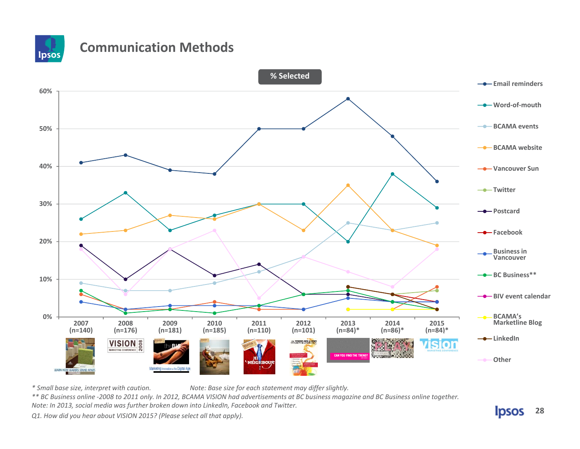

### **Communication Methods**



*Mote: Base size for each statement may differ slightly.* 

\*\* BC Business online -2008 to 2011 only. In 2012, BCAMA VISION had advertisements at BC business magazine and BC Business online together.

*Note: In 2013, social media was further broken down into LinkedIn, Facebook and Twitter.*

*Q1. How did you hear about VISION 2015? (Please select all that apply).*

*\**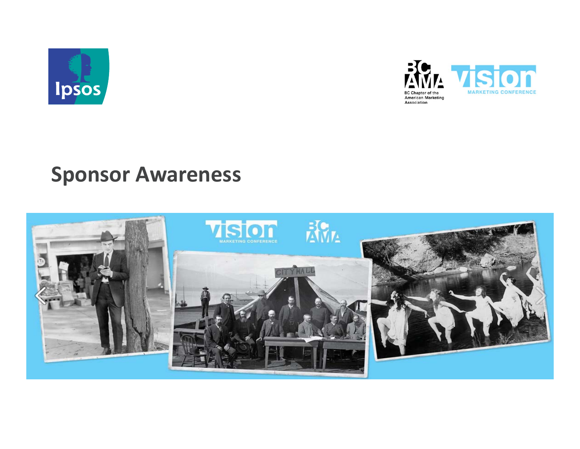



# **Sponsor Awareness**

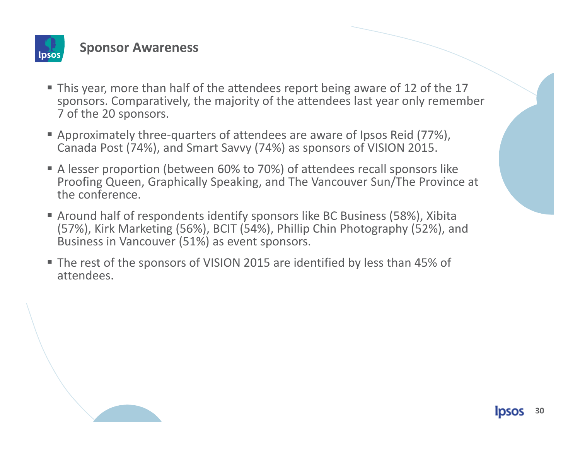

#### **Sponsor Awareness**

- This year, more than half of the attendees report being aware of 12 of the 17 sponsors. Comparatively, the majority of the attendees last year only remember 7 of the 20 sponsors.
- Approximately three-quarters of attendees are aware of Ipsos Reid (77%), Canada Post (74%), and Smart Savvy (74%) as sponsors of VISION 2015.
- A lesser proportion (between 60% to 70%) of attendees recall sponsors like Proofing Queen, Graphically Speaking, and The Vancouver Sun/The Province at the conference.
- Around half of respondents identify sponsors like BC Business (58%), Xibita (57%), Kirk Marketing (56%), BCIT (54%), Phillip Chin Photography (52%), and Business in Vancouver (51%) as event sponsors.
- The rest of the sponsors of VISION 2015 are identified by less than 45% of attendees.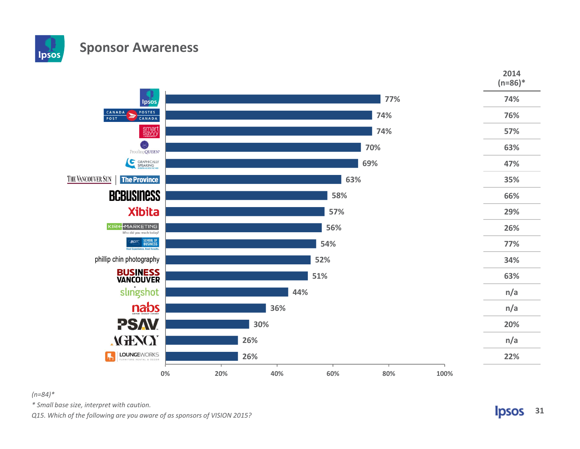#### **Sponsor Awareness**



#### *(n=84)\**

lpsos

*\* Small base size, interpret with caution.*

*Q15. Which of the following are you aware of as sponsors of VISION 2015?*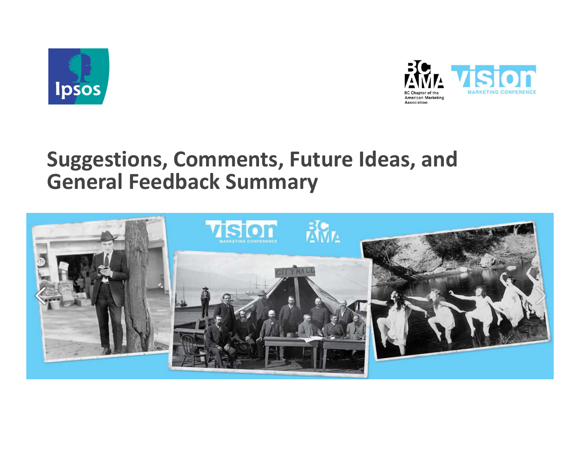



# **Suggestions, Comments, Future Ideas, and General Feedback Summary**

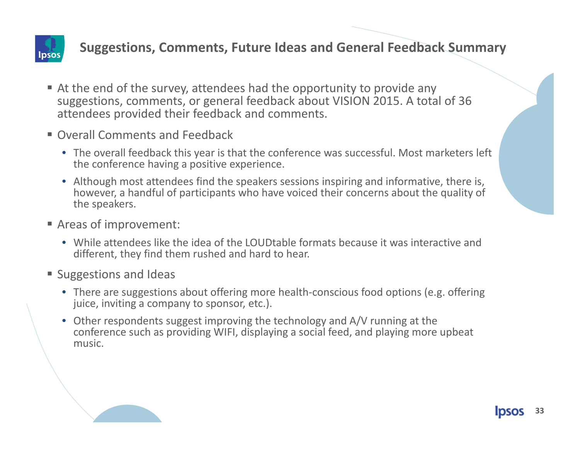

#### **Suggestions, Comments, Future Ideas and General Feedback Summary**

- At the end of the survey, attendees had the opportunity to provide any suggestions, comments, or general feedback about VISION 2015. A total of 36 attendees provided their feedback and comments.
- Overall Comments and Feedback
	- The overall feedback this year is that the conference was successful. Most marketers left the conference having <sup>a</sup> positive experience.
	- Although most attendees find the speakers sessions inspiring and informative, there is, however, <sup>a</sup> handful of participants who have voiced their concerns about the quality of the speakers.
- Areas of improvement:
	- While attendees like the idea of the LOUDtable formats because it was interactive anddifferent, they find them rushed and hard to hear.
- **Suggestions and Ideas** 
	- There are suggestions about offering more health‐conscious food options (e.g. offering juice, inviting <sup>a</sup> company to sponsor, etc.).
	- Other respondents suggest improving the technology and A/V running at the conference such as providing WIFI, displaying <sup>a</sup> social feed, and playing more upbeat music.

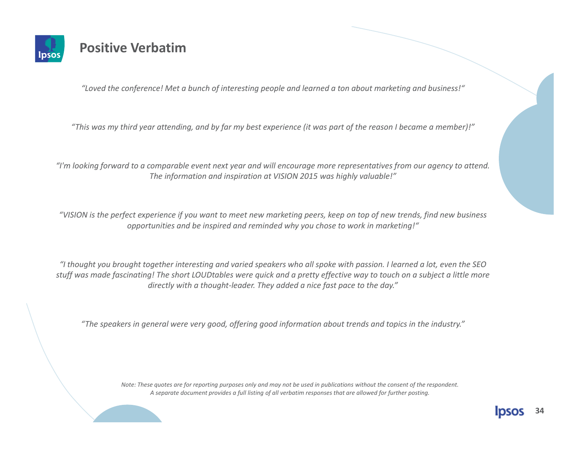

#### **Positive Verbatim**

*"Loved the conference! Met <sup>a</sup> bunch of interesting people and learned <sup>a</sup> ton about marketing and business!"*

"This was my third year attending, and by far my best experience (it was part of the reason I became a member)!"

"I'm looking forward to a comparable event next year and will encourage more representatives from our agency to attend. *The information and inspiration at VISION 2015 was highly valuable!"*

"VISION is the perfect experience if you want to meet new marketing peers, keep on top of new trends, find new business *opportunities and be inspired and reminded why you chose to work in marketing!"*

"I thought you brought together interesting and varied speakers who all spoke with passion. I learned a lot, even the SEO stuff was made fascinating! The short LOUDtables were quick and a pretty effective way to touch on a subject a little more *directly with <sup>a</sup> thought‐leader. They added <sup>a</sup> nice fast pace to the day."*

"The speakers in general were very good, offering good information about trends and topics in the industry."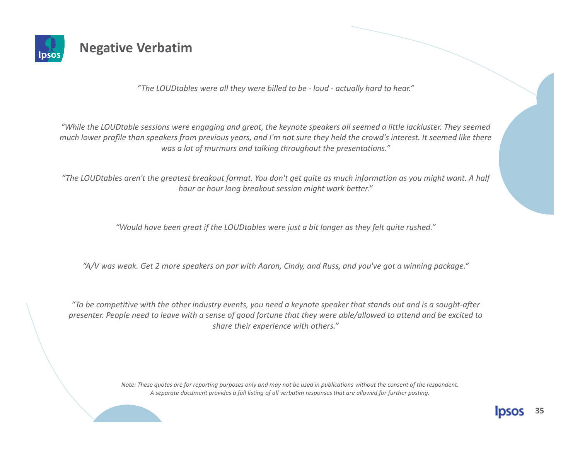

#### **Negative Verbatim**

*"The LOUDtables were all they were billed to be ‐ loud ‐ actually hard to hear."*

"While the LOUDtable sessions were engaging and great, the keynote speakers all seemed a little lackluster. They seemed much lower profile than speakers from previous years, and I'm not sure they held the crowd's interest. It seemed like there *was a lot of murmurs and talking throughout the presentations."*

"The LOUDtables aren't the greatest breakout format. You don't get quite as much information as you might want. A half *hour or hour long breakout session might work better."*

*"Would have been great if the LOUDtables were just <sup>a</sup> bit longer as they felt quite rushed."*

"A/V was weak. Get 2 more speakers on par with Aaron, Cindy, and Russ, and you've got a winning package."

"To be competitive with the other industry events, you need a keynote speaker that stands out and is a sought-after presenter. People need to leave with a sense of good fortune that they were able/allowed to attend and be excited to *share their experience with others."*

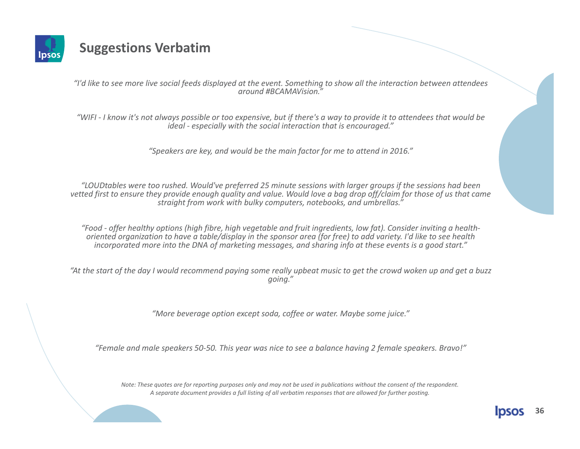

#### **Suggestions Verbatim**

"I'd like to see more live social feeds displayed at the event. Something to show all the interaction between attendees *around #BCAMAVision."*

"WIFI - I know it's not always possible or too expensive, but if there's a way to provide it to attendees that would be *ideal ‐ especially with the social interaction that is encouraged."*

*"Speakers are key, and would be the main factor for me to attend in 2016."*

"LOUDtables were too rushed. Would've preferred 25 minute sessions with larger groups if the sessions had been vetted first to ensure they provide enough quality and value. Would love a bag drop off/claim for those of us that came *straight from work with bulky computers, notebooks, and umbrellas."*

"Food - offer healthy options (high fibre, high vegetable and fruit ingredients, low fat). Consider inviting a healthoriented organization to have a table/display in the sponsor area (for free) to add variety. I'd like to see health incorporated more into the DNA of marketing messages, and sharing info at these events is a good start."

"At the start of the day I would recommend paying some really upbeat music to get the crowd woken up and get a buzz *going."*

*"More beverage option except soda, coffee or water. Maybe some juice."*

"Female and male speakers 50-50. This year was nice to see a balance having 2 female speakers. Bravo!"

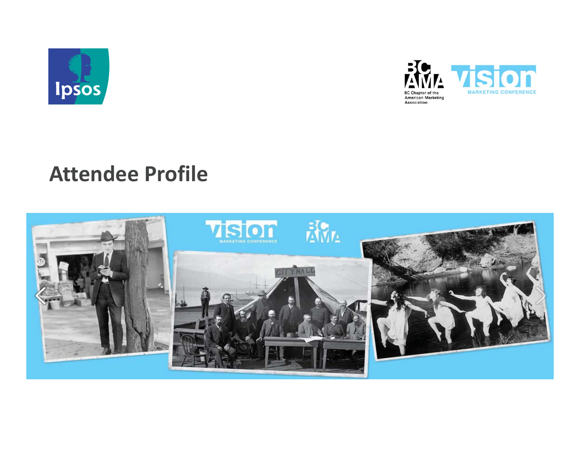



# **Attendee Profile**

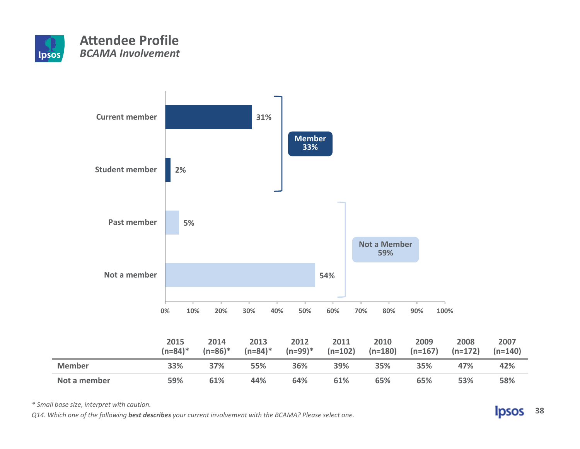



*\* Small base size, interpret with caution.*

Q14. Which one of the following best describes your current involvement with the BCAMA? Please select one.

**Ipsos 38**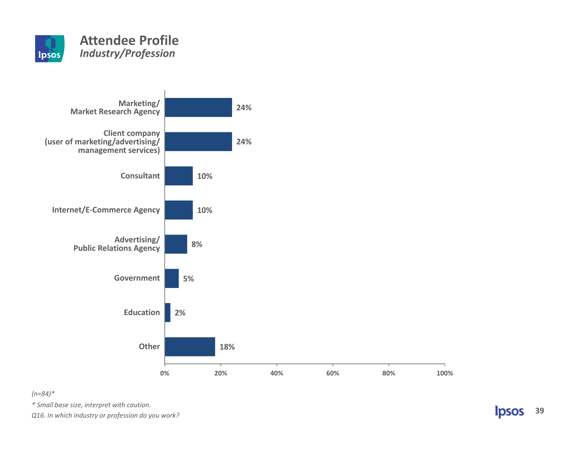



#### *(n=84)\**

*\* Small base size, interpret with caution.*

*Q16. In which industry or profession do you work?*